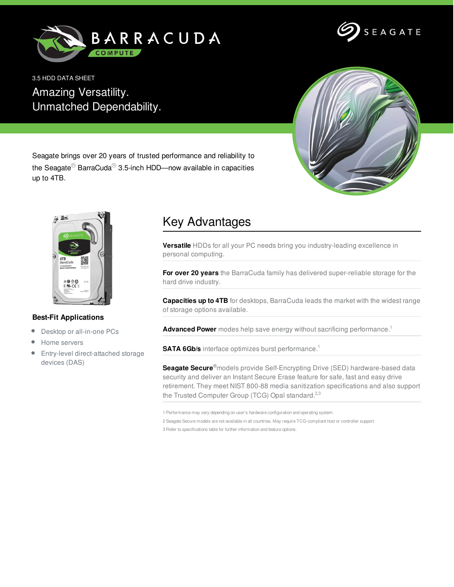



3.5 HDD DATA SHEET Amazing Versatility. Unmatched Dependability.



Seagate brings over 20 years of trusted performance and reliability to the Seagate<sup>®</sup> BarraCuda<sup>®</sup> 3.5-inch HDD—now available in capacities up to 4TB.



## **Best-Fit Applications**

- Desktop or all-in-one PCs  $\bullet$
- Home servers
- Entry-level direct-attached storage  $\bullet$ devices (DAS)

## Key Advantages

**Versatile** HDDs for all your PC needs bring you industry-leading excellence in personal computing.

**For over 20 years** the BarraCuda family has delivered super-reliable storage for the hard drive industry.

**Capacities up to 4TB** for desktops, BarraCuda leads the market with the widest range of storage options available.

**Advanced Power** modes help save energy without sacrificing performance. 1

**SATA 6Gb/s** interface optimizes burst performance. 1

**Seagate Secure ®**models provide Self-Encrypting Drive (SED) hardware-based data security and deliver an Instant Secure Erase feature for safe, fast and easy drive retirement. They meet NIST 800-88 media sanitization specifications and also support the Trusted Computer Group (TCG) Opal standard.<sup>2,3</sup>

1 Performance may vary depending on user's hardware configuration and operating system.

2 Seagate Secure models are not available in all countries. May require TCG-compliant host or controller support. 3 Refer to specifications table for further information and feature options.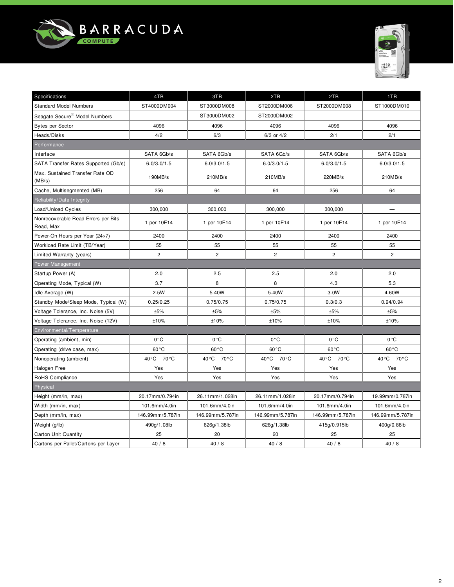



| Specifications                                   | 4TB                             | 3TB                          | 2TB                          | 2TB                          | 1TB                          |
|--------------------------------------------------|---------------------------------|------------------------------|------------------------------|------------------------------|------------------------------|
| <b>Standard Model Numbers</b>                    | ST4000DM004                     | ST3000DM008                  | ST2000DM006                  | ST2000DM008                  | ST1000DM010                  |
| Seagate Secure <sup>®</sup> Model Numbers        |                                 | ST3000DM002                  | ST2000DM002                  |                              |                              |
| <b>Bytes per Sector</b>                          | 4096                            | 4096                         | 4096                         | 4096                         | 4096                         |
| Heads/Disks                                      | 4/2                             | 6/3                          | $6/3$ or $4/2$               | 2/1                          | 2/1                          |
| Performance                                      |                                 |                              |                              |                              |                              |
| Interface                                        | SATA 6Gb/s                      | SATA 6Gb/s                   | SATA 6Gb/s                   | SATA 6Gb/s                   | SATA 6Gb/s                   |
| SATA Transfer Rates Supported (Gb/s)             | 6.0/3.0/1.5                     | 6.0/3.0/1.5                  | 6.0/3.0/1.5                  | 6.0/3.0/1.5                  | 6.0/3.0/1.5                  |
| Max. Sustained Transfer Rate OD<br>(MB/s)        | 190MB/s                         | 210MB/s                      | 210MB/s                      | 220MB/s                      | 210MB/s                      |
| Cache, Multisegmented (MB)                       | 256                             | 64                           | 64                           | 256                          | 64                           |
| Reliability/Data Integrity                       |                                 |                              |                              |                              |                              |
| Load/Unload Cycles                               | 300,000                         | 300,000                      | 300.000                      | 300,000                      |                              |
| Nonrecoverable Read Errors per Bits<br>Read, Max | 1 per 10E14                     | 1 per 10E14                  | 1 per 10E14                  | 1 per 10E14                  | 1 per 10E14                  |
| Power-On Hours per Year (24×7)                   | 2400                            | 2400                         | 2400                         | 2400                         | 2400                         |
| Workload Rate Limit (TB/Year)                    | 55                              | 55                           | 55                           | 55                           | 55                           |
| Limited Warranty (years)                         | $\overline{c}$                  | $\overline{c}$               | $\overline{c}$               | $\mathbf{2}$                 | $\overline{2}$               |
| Power Management                                 |                                 |                              |                              |                              |                              |
| Startup Power (A)                                | 2.0                             | 2.5                          | 2.5                          | 2.0                          | 2.0                          |
| Operating Mode, Typical (W)                      | 3.7                             | 8                            | 8                            | 4.3                          | 5.3                          |
| Idle Average (W)                                 | 2.5W                            | 5.40W                        | 5.40W                        | 3.0W                         | 4.60W                        |
| Standby Mode/Sleep Mode, Typical (W)             | 0.25/0.25                       | 0.75/0.75                    | 0.75/0.75                    | 0.3/0.3                      | 0.94/0.94                    |
| Voltage Tolerance, Inc. Noise (5V)               | $\pm 5\%$                       | $\pm 5\%$                    | $\pm 5\%$                    | ±5%                          | $\pm 5\%$                    |
| Voltage Tolerance, Inc. Noise (12V)              | ±10%                            | ±10%                         | ±10%                         | ±10%                         | ±10%                         |
| Environmental/Temperature                        |                                 |                              |                              |                              |                              |
| Operating (ambient, min)                         | $0^{\circ}$ C                   | $0^{\circ}$ C                | $0^{\circ}$ C                | $0^{\circ}$ C                | 0°C                          |
| Operating (drive case, max)                      | $60^{\circ}$ C                  | $60^{\circ}$ C               | $60^{\circ}$ C               | $60^{\circ}$ C               | $60^{\circ}$ C               |
| Nonoperating (ambient)                           | $-40\degree$ C – 70 $\degree$ C | $-40\degree C - 70\degree C$ | $-40\degree C - 70\degree C$ | $-40\degree C - 70\degree C$ | $-40\degree C - 70\degree C$ |
| Halogen Free                                     | Yes                             | Yes                          | Yes                          | Yes                          | Yes                          |
| RoHS Compliance                                  | Yes                             | Yes                          | Yes                          | Yes                          | Yes                          |
| Physical                                         |                                 |                              |                              |                              |                              |
| Height (mm/in, max)                              | 20.17mm/0.794in                 | 26.11mm/1.028in              | 26.11mm/1.028in              | 20.17mm/0.794in              | 19.99mm/0.787in              |
| Width (mm/in, max)                               | 101.6mm/4.0in                   | 101.6mm/4.0in                | 101.6mm/4.0in                | 101.6mm/4.0in                | 101.6mm/4.0in                |
| Depth (mm/in, max)                               | 146.99mm/5.787in                | 146.99mm/5.787in             | 146.99mm/5.787in             | 146.99mm/5.787in             | 146.99mm/5.787in             |
| Weight (g/lb)                                    | 490g/1.08lb                     | 626g/1.38lb                  | 626g/1.38lb                  | 415g/0.915lb                 | 400g/0.88lb                  |
| <b>Carton Unit Quantity</b>                      | 25                              | 20                           | 20                           | 25                           | 25                           |
| Cartons per Pallet/Cartons per Layer             | 40/8                            | 40/8                         | 40/8                         | 40/8                         | 40/8                         |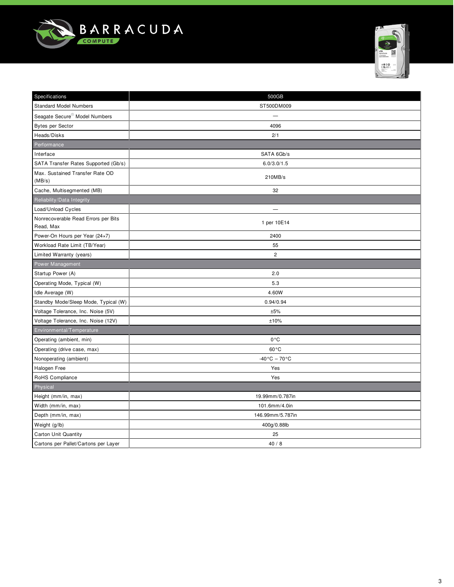



| Specifications                                   | 500GB                        |
|--------------------------------------------------|------------------------------|
| <b>Standard Model Numbers</b>                    | ST500DM009                   |
| Seagate Secure <sup>®</sup> Model Numbers        |                              |
| <b>Bytes per Sector</b>                          | 4096                         |
| Heads/Disks                                      | 2/1                          |
| Performance                                      |                              |
| Interface                                        | SATA 6Gb/s                   |
| SATA Transfer Rates Supported (Gb/s)             | 6.0/3.0/1.5                  |
| Max. Sustained Transfer Rate OD<br>(MB/s)        | 210MB/s                      |
| Cache, Multisegmented (MB)                       | 32                           |
| Reliability/Data Integrity                       |                              |
| Load/Unload Cycles                               |                              |
| Nonrecoverable Read Errors per Bits<br>Read, Max | 1 per 10E14                  |
| Power-On Hours per Year (24×7)                   | 2400                         |
| Workload Rate Limit (TB/Year)                    | 55                           |
| Limited Warranty (years)                         | $\sqrt{2}$                   |
| Power Management                                 |                              |
| Startup Power (A)                                | 2.0                          |
| Operating Mode, Typical (W)                      | 5.3                          |
| Idle Average (W)                                 | 4.60W                        |
| Standby Mode/Sleep Mode, Typical (W)             | 0.94/0.94                    |
| Voltage Tolerance, Inc. Noise (5V)               | ±5%                          |
| Voltage Tolerance, Inc. Noise (12V)              | ±10%                         |
| Environmental/Temperature                        |                              |
| Operating (ambient, min)                         | $0^{\circ}$ C                |
| Operating (drive case, max)                      | $60^{\circ}$ C               |
| Nonoperating (ambient)                           | $-40\degree C - 70\degree C$ |
| Halogen Free                                     | Yes                          |
| RoHS Compliance                                  | Yes                          |
| Physical                                         |                              |
| Height (mm/in, max)                              | 19.99mm/0.787in              |
| Width (mm/in, max)                               | 101.6mm/4.0in                |
| Depth (mm/in, max)                               | 146.99mm/5.787in             |
| Weight (g/lb)                                    | 400g/0.88lb                  |
| <b>Carton Unit Quantity</b>                      | 25                           |
| Cartons per Pallet/Cartons per Layer             | 40/8                         |